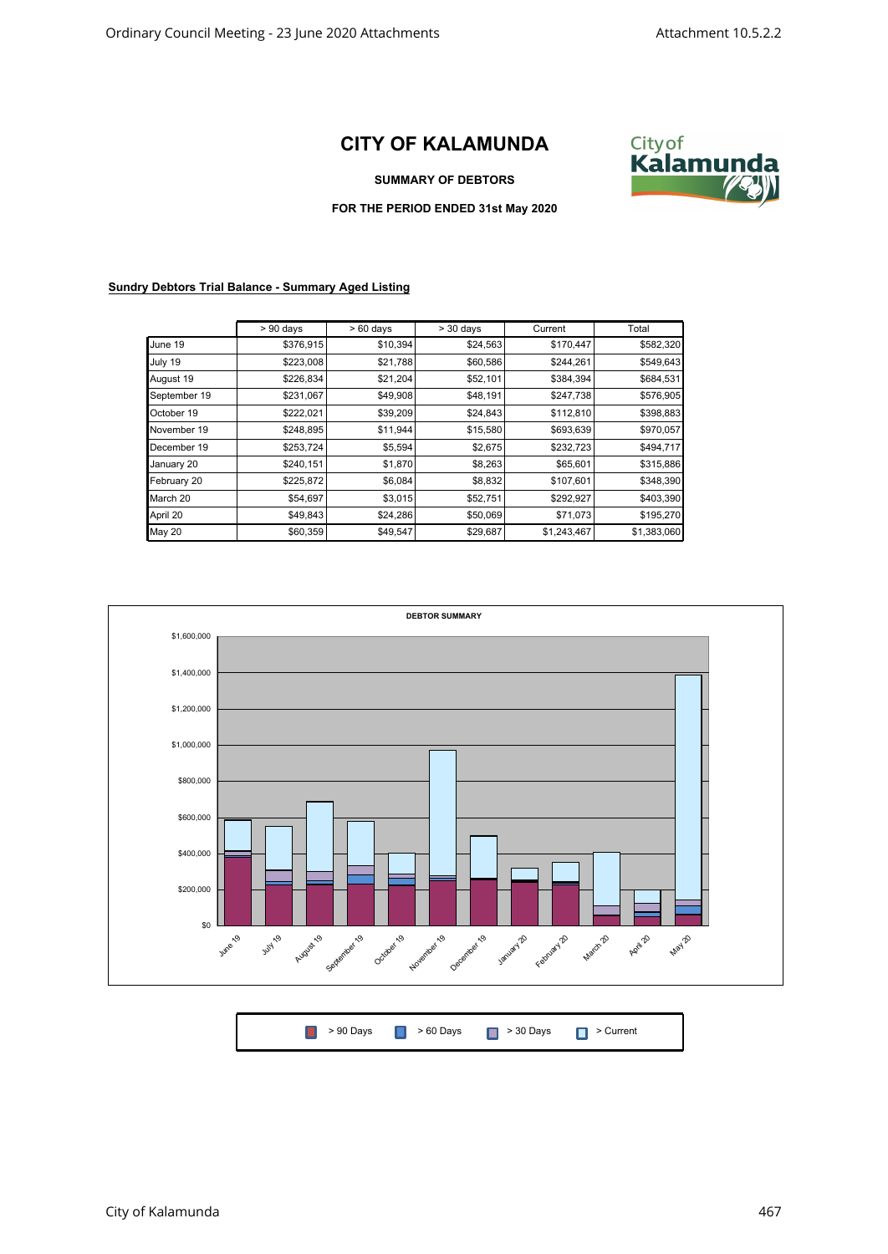## **CITY OF KALAMUNDA**



**SUMMARY OF DEBTORS**

**FOR THE PERIOD ENDED 31st May 2020**

## **Sundry Debtors Trial Balance - Summary Aged Listing**

|              | $> 90$ days | $>60$ days | $>$ 30 days | Current     | Total       |
|--------------|-------------|------------|-------------|-------------|-------------|
| June 19      | \$376,915   | \$10,394   | \$24,563    | \$170,447   | \$582,320   |
| July 19      | \$223,008   | \$21,788   | \$60,586    | \$244,261   | \$549,643   |
| August 19    | \$226,834   | \$21,204   | \$52,101    | \$384,394   | \$684,531   |
| September 19 | \$231,067   | \$49,908   | \$48,191    | \$247,738   | \$576,905   |
| October 19   | \$222,021   | \$39,209   | \$24,843    | \$112,810   | \$398,883   |
| November 19  | \$248,895   | \$11,944   | \$15,580    | \$693,639   | \$970,057   |
| December 19  | \$253,724   | \$5,594    | \$2,675     | \$232,723   | \$494,717   |
| January 20   | \$240,151   | \$1,870    | \$8,263     | \$65,601    | \$315,886   |
| February 20  | \$225,872   | \$6,084    | \$8,832     | \$107,601   | \$348,390   |
| March 20     | \$54,697    | \$3,015    | \$52,751    | \$292,927   | \$403,390   |
| April 20     | \$49,843    | \$24,286   | \$50,069    | \$71,073    | \$195,270   |
| May 20       | \$60,359    | \$49,547   | \$29,687    | \$1,243,467 | \$1,383,060 |



|  |  | <b>8</b> > 90 Days <b>8</b> > 60 Days <b>8 &gt; 30 Days 8 &gt; Current</b> |  |  |
|--|--|----------------------------------------------------------------------------|--|--|
|--|--|----------------------------------------------------------------------------|--|--|